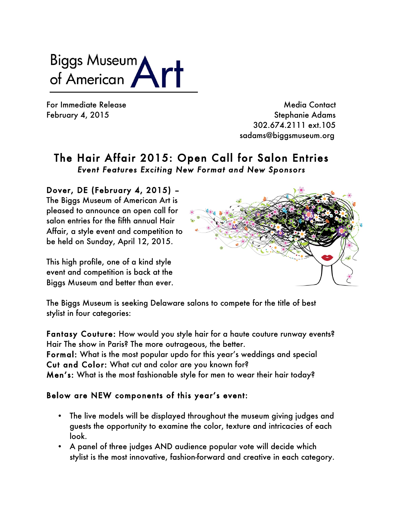Biggs Museum<br>of American

For Immediate Release and the state of the Media Contact February 4, 2015 **Stephanie Adams**  302.674.2111 ext.105 sadams@biggsmuseum.org

## The Hair Affair 2015: Open Call for Salon Entries *Event Features Exciting New Format and New Sponsors*

## Dover, DE (February 4, 2015) –

The Biggs Museum of American Art is pleased to announce an open call for salon entries for the fifth annual Hair Affair, a style event and competition to be held on Sunday, April 12, 2015.

This high profile, one of a kind style event and competition is back at the Biggs Museum and better than ever.



The Biggs Museum is seeking Delaware salons to compete for the title of best stylist in four categories:

Fantasy Couture: How would you style hair for a haute couture runway events? Hair The show in Paris? The more outrageous, the better. Formal: What is the most popular updo for this year's weddings and special Cut and Color: What cut and color are you known for? Men's: What is the most fashionable style for men to wear their hair today?

### Below are NEW components of this year's event:

- The live models will be displayed throughout the museum giving judges and guests the opportunity to examine the color, texture and intricacies of each look.
- A panel of three judges AND audience popular vote will decide which stylist is the most innovative, fashion-forward and creative in each category.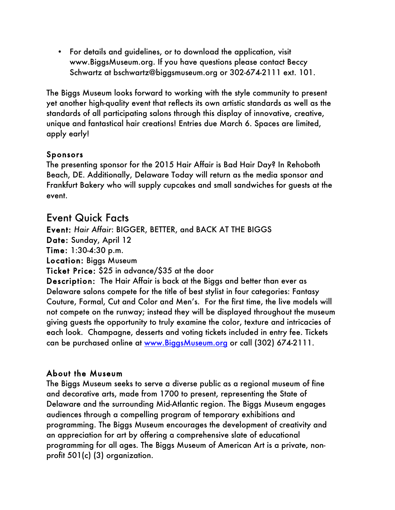• For details and guidelines, or to download the application, visit www.BiggsMuseum.org. If you have questions please contact Beccy Schwartz at bschwartz@biggsmuseum.org or 302-674-2111 ext. 101.

The Biggs Museum looks forward to working with the style community to present yet another high-quality event that reflects its own artistic standards as well as the standards of all participating salons through this display of innovative, creative, unique and fantastical hair creations! Entries due March 6. Spaces are limited, apply early!

### Sponsors

The presenting sponsor for the 2015 Hair Affair is Bad Hair Day? In Rehoboth Beach, DE. Additionally, Delaware Today will return as the media sponsor and Frankfurt Bakery who will supply cupcakes and small sandwiches for guests at the event.

# Event Quick Facts

Event: *Hair Affair*: BIGGER, BETTER, and BACK AT THE BIGGS

Date: Sunday, April 12

Time: 1:30-4:30 p.m.

Location: Biggs Museum

Ticket Price: \$25 in advance/\$35 at the door

Description: The Hair Affair is back at the Biggs and better than ever as Delaware salons compete for the title of best stylist in four categories: Fantasy Couture, Formal, Cut and Color and Men's. For the first time, the live models will not compete on the runway; instead they will be displayed throughout the museum giving guests the opportunity to truly examine the color, texture and intricacies of each look. Champagne, desserts and voting tickets included in entry fee. Tickets can be purchased online at www.BiggsMuseum.org or call (302) 674-2111.

### About the Museum

The Biggs Museum seeks to serve a diverse public as a regional museum of fine and decorative arts, made from 1700 to present, representing the State of Delaware and the surrounding Mid-Atlantic region. The Biggs Museum engages audiences through a compelling program of temporary exhibitions and programming. The Biggs Museum encourages the development of creativity and an appreciation for art by offering a comprehensive slate of educational programming for all ages. The Biggs Museum of American Art is a private, nonprofit 501(c) (3) organization.